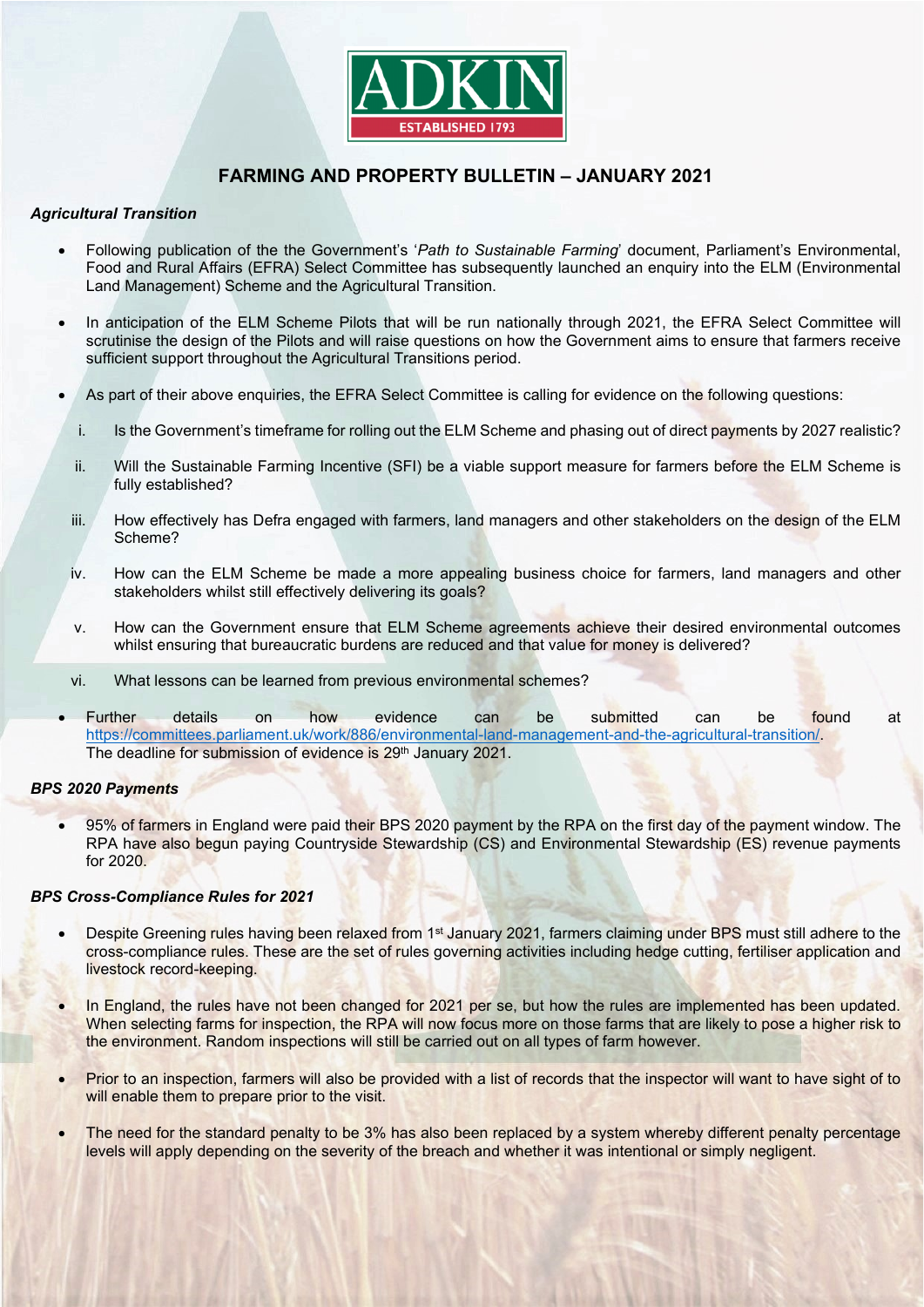

# **FARMING AND PROPERTY BULLETIN – JANUARY 2021**

## *Agricultural Transition*

- Following publication of the the Government's '*Path to Sustainable Farming*' document, Parliament's Environmental, Food and Rural Affairs (EFRA) Select Committee has subsequently launched an enquiry into the ELM (Environmental Land Management) Scheme and the Agricultural Transition.
- In anticipation of the ELM Scheme Pilots that will be run nationally through 2021, the EFRA Select Committee will scrutinise the design of the Pilots and will raise questions on how the Government aims to ensure that farmers receive sufficient support throughout the Agricultural Transitions period.
- As part of their above enquiries, the EFRA Select Committee is calling for evidence on the following questions:
	- i. Is the Government's timeframe for rolling out the ELM Scheme and phasing out of direct payments by 2027 realistic?
	- ii. Will the Sustainable Farming Incentive (SFI) be a viable support measure for farmers before the ELM Scheme is fully established?
- iii. How effectively has Defra engaged with farmers, land managers and other stakeholders on the design of the ELM Scheme?
- iv. How can the ELM Scheme be made a more appealing business choice for farmers, land managers and other stakeholders whilst still effectively delivering its goals?
- v. How can the Government ensure that ELM Scheme agreements achieve their desired environmental outcomes whilst ensuring that bureaucratic burdens are reduced and that value for money is delivered?
- vi. What lessons can be learned from previous environmental schemes?
- Further details on how evidence can be submitted can be found at [https://committees.parliament.uk/work/886/environmental-land-management-and-the-agricultural-transition/.](https://committees.parliament.uk/work/886/environmental-land-management-and-the-agricultural-transition/) The deadline for submission of evidence is 29<sup>th</sup> January 2021.

## *BPS 2020 Payments*

• 95% of farmers in England were paid their BPS 2020 payment by the RPA on the first day of the payment window. The RPA have also begun paying Countryside Stewardship (CS) and Environmental Stewardship (ES) revenue payments for 2020.

## *BPS Cross-Compliance Rules for 2021*

- Despite Greening rules having been relaxed from 1<sup>st</sup> January 2021, farmers claiming under BPS must still adhere to the cross-compliance rules. These are the set of rules governing activities including hedge cutting, fertiliser application and livestock record-keeping.
- In England, the rules have not been changed for 2021 per se, but how the rules are implemented has been updated. When selecting farms for inspection, the RPA will now focus more on those farms that are likely to pose a higher risk to the environment. Random inspections will still be carried out on all types of farm however.
- Prior to an inspection, farmers will also be provided with a list of records that the inspector will want to have sight of to will enable them to prepare prior to the visit.
- The need for the standard penalty to be 3% has also been replaced by a system whereby different penalty percentage levels will apply depending on the severity of the breach and whether it was intentional or simply negligent.